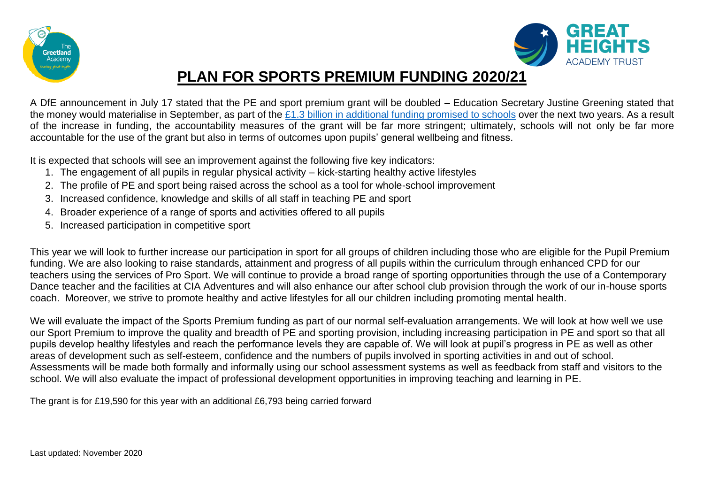



## **PLAN FOR SPORTS PREMIUM FUNDING 2020/21**

A DfE announcement in July 17 stated that the PE and sport premium grant will be doubled – Education Secretary Justine Greening stated that the money would materialise in September, as part of the  $£1.3$  billion in additional funding promised to schools over the next two years. As a result of the increase in funding, the accountability measures of the grant will be far more stringent; ultimately, schools will not only be far more accountable for the use of the grant but also in terms of outcomes upon pupils' general wellbeing and fitness.

It is expected that schools will see an improvement against the following five key indicators:

- 1. The engagement of all pupils in regular physical activity kick-starting healthy active lifestyles
- 2. The profile of PE and sport being raised across the school as a tool for whole-school improvement
- 3. Increased confidence, knowledge and skills of all staff in teaching PE and sport
- 4. Broader experience of a range of sports and activities offered to all pupils
- 5. Increased participation in competitive sport

This year we will look to further increase our participation in sport for all groups of children including those who are eligible for the Pupil Premium funding. We are also looking to raise standards, attainment and progress of all pupils within the curriculum through enhanced CPD for our teachers using the services of Pro Sport. We will continue to provide a broad range of sporting opportunities through the use of a Contemporary Dance teacher and the facilities at CIA Adventures and will also enhance our after school club provision through the work of our in-house sports coach. Moreover, we strive to promote healthy and active lifestyles for all our children including promoting mental health.

We will evaluate the impact of the Sports Premium funding as part of our normal self-evaluation arrangements. We will look at how well we use our Sport Premium to improve the quality and breadth of PE and sporting provision, including increasing participation in PE and sport so that all pupils develop healthy lifestyles and reach the performance levels they are capable of. We will look at pupil's progress in PE as well as other areas of development such as self-esteem, confidence and the numbers of pupils involved in sporting activities in and out of school. Assessments will be made both formally and informally using our school assessment systems as well as feedback from staff and visitors to the school. We will also evaluate the impact of professional development opportunities in improving teaching and learning in PE.

The grant is for £19,590 for this year with an additional £6,793 being carried forward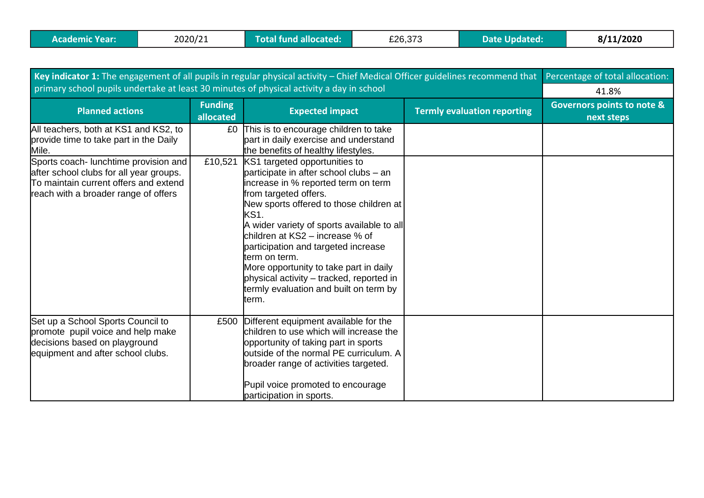| Key indicator 1: The engagement of all pupils in regular physical activity - Chief Medical Officer guidelines recommend that                                      |                             |                                                                                                                                                                                                                                                                                                                                                                                                                                                                              |                                    | Percentage of total allocation:                     |
|-------------------------------------------------------------------------------------------------------------------------------------------------------------------|-----------------------------|------------------------------------------------------------------------------------------------------------------------------------------------------------------------------------------------------------------------------------------------------------------------------------------------------------------------------------------------------------------------------------------------------------------------------------------------------------------------------|------------------------------------|-----------------------------------------------------|
| primary school pupils undertake at least 30 minutes of physical activity a day in school                                                                          | 41.8%                       |                                                                                                                                                                                                                                                                                                                                                                                                                                                                              |                                    |                                                     |
| <b>Planned actions</b>                                                                                                                                            | <b>Funding</b><br>allocated | <b>Expected impact</b>                                                                                                                                                                                                                                                                                                                                                                                                                                                       | <b>Termly evaluation reporting</b> | <b>Governors points to note &amp;</b><br>next steps |
| All teachers, both at KS1 and KS2, to<br>provide time to take part in the Daily<br>Mile.                                                                          | £0                          | This is to encourage children to take<br>part in daily exercise and understand<br>the benefits of healthy lifestyles.                                                                                                                                                                                                                                                                                                                                                        |                                    |                                                     |
| Sports coach- lunchtime provision and<br>after school clubs for all year groups.<br>To maintain current offers and extend<br>reach with a broader range of offers | £10,521                     | KS1 targeted opportunities to<br>participate in after school clubs - an<br>increase in % reported term on term<br>from targeted offers.<br>New sports offered to those children at<br>KS1.<br>A wider variety of sports available to all<br>children at KS2 – increase % of<br>participation and targeted increase<br>term on term.<br>More opportunity to take part in daily<br>physical activity - tracked, reported in<br>termly evaluation and built on term by<br>term. |                                    |                                                     |
| Set up a School Sports Council to<br>promote pupil voice and help make<br>decisions based on playground<br>equipment and after school clubs.                      | £500                        | Different equipment available for the<br>children to use which will increase the<br>opportunity of taking part in sports<br>outside of the normal PE curriculum. A<br>broader range of activities targeted.<br>Pupil voice promoted to encourage<br>participation in sports.                                                                                                                                                                                                 |                                    |                                                     |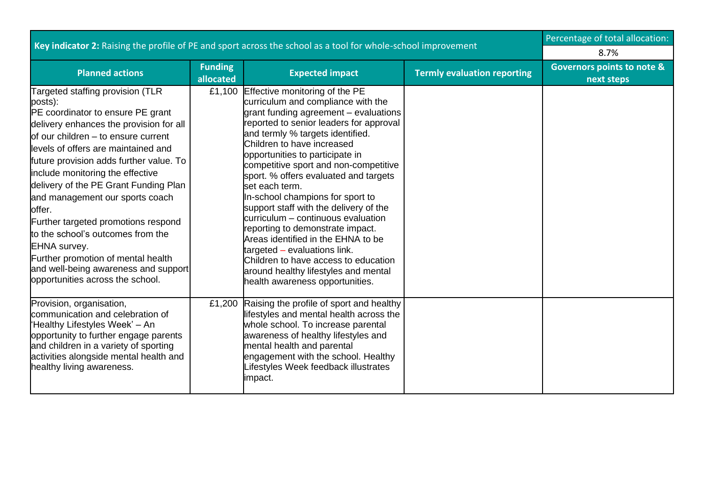| Key indicator 2: Raising the profile of PE and sport across the school as a tool for whole-school improvement                                                                                                                                                                                                                                                                                                                                                                                                                                                                                       |                             |                                                                                                                                                                                                                                                                                                                                                                                                                                                                                                                                                                                                                                                                                                                    |                                    | Percentage of total allocation:                     |
|-----------------------------------------------------------------------------------------------------------------------------------------------------------------------------------------------------------------------------------------------------------------------------------------------------------------------------------------------------------------------------------------------------------------------------------------------------------------------------------------------------------------------------------------------------------------------------------------------------|-----------------------------|--------------------------------------------------------------------------------------------------------------------------------------------------------------------------------------------------------------------------------------------------------------------------------------------------------------------------------------------------------------------------------------------------------------------------------------------------------------------------------------------------------------------------------------------------------------------------------------------------------------------------------------------------------------------------------------------------------------------|------------------------------------|-----------------------------------------------------|
|                                                                                                                                                                                                                                                                                                                                                                                                                                                                                                                                                                                                     | 8.7%                        |                                                                                                                                                                                                                                                                                                                                                                                                                                                                                                                                                                                                                                                                                                                    |                                    |                                                     |
| <b>Planned actions</b>                                                                                                                                                                                                                                                                                                                                                                                                                                                                                                                                                                              | <b>Funding</b><br>allocated | <b>Expected impact</b>                                                                                                                                                                                                                                                                                                                                                                                                                                                                                                                                                                                                                                                                                             | <b>Termly evaluation reporting</b> | <b>Governors points to note &amp;</b><br>next steps |
| Targeted staffing provision (TLR<br>posts):<br>PE coordinator to ensure PE grant<br>delivery enhances the provision for all<br>of our children – to ensure current<br>levels of offers are maintained and<br>future provision adds further value. To<br>include monitoring the effective<br>delivery of the PE Grant Funding Plan<br>and management our sports coach<br>offer.<br>Further targeted promotions respond<br>to the school's outcomes from the<br><b>EHNA</b> survey.<br>Further promotion of mental health<br>and well-being awareness and support<br>opportunities across the school. | £1,100                      | Effective monitoring of the PE<br>curriculum and compliance with the<br>grant funding agreement - evaluations<br>reported to senior leaders for approval<br>and termly % targets identified.<br>Children to have increased<br>opportunities to participate in<br>competitive sport and non-competitive<br>sport. % offers evaluated and targets<br>set each term.<br>In-school champions for sport to<br>support staff with the delivery of the<br>curriculum – continuous evaluation<br>reporting to demonstrate impact.<br>Areas identified in the EHNA to be<br>targeted - evaluations link.<br>Children to have access to education<br>around healthy lifestyles and mental<br>health awareness opportunities. |                                    |                                                     |
| Provision, organisation,<br>communication and celebration of<br>"Healthy Lifestyles Week' – An<br>opportunity to further engage parents<br>and children in a variety of sporting<br>activities alongside mental health and<br>healthy living awareness.                                                                                                                                                                                                                                                                                                                                             |                             | £1,200 Raising the profile of sport and healthy<br>lifestyles and mental health across the<br>whole school. To increase parental<br>awareness of healthy lifestyles and<br>mental health and parental<br>engagement with the school. Healthy<br>Lifestyles Week feedback illustrates<br>impact.                                                                                                                                                                                                                                                                                                                                                                                                                    |                                    |                                                     |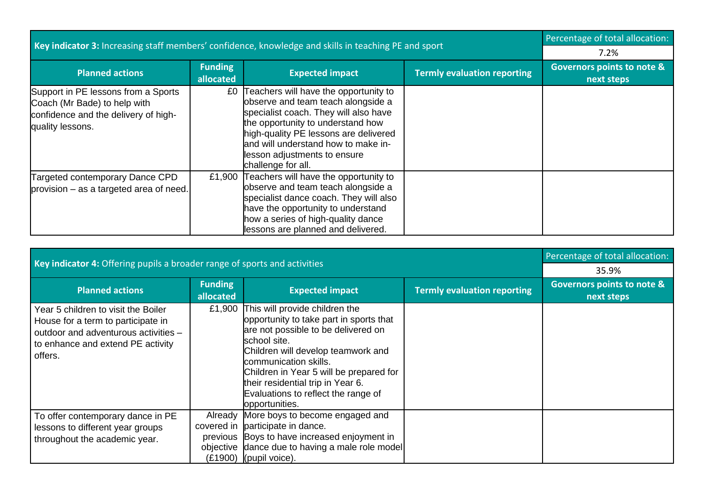| Key indicator 3: Increasing staff members' confidence, knowledge and skills in teaching PE and sport                            |                                                     |                                                                                                                                                                                                                                                                                                  |  | Percentage of total allocation: |
|---------------------------------------------------------------------------------------------------------------------------------|-----------------------------------------------------|--------------------------------------------------------------------------------------------------------------------------------------------------------------------------------------------------------------------------------------------------------------------------------------------------|--|---------------------------------|
|                                                                                                                                 | 7.2%                                                |                                                                                                                                                                                                                                                                                                  |  |                                 |
| <b>Planned actions</b>                                                                                                          | <b>Governors points to note &amp;</b><br>next steps |                                                                                                                                                                                                                                                                                                  |  |                                 |
| Support in PE lessons from a Sports<br>Coach (Mr Bade) to help with<br>confidence and the delivery of high-<br>quality lessons. | £0                                                  | Teachers will have the opportunity to<br>observe and team teach alongside a<br>specialist coach. They will also have<br>the opportunity to understand how<br>high-quality PE lessons are delivered<br>land will understand how to make in-<br>lesson adjustments to ensure<br>challenge for all. |  |                                 |
| Targeted contemporary Dance CPD<br>provision - as a targeted area of need.                                                      | £1,900                                              | Teachers will have the opportunity to<br>observe and team teach alongside a<br>specialist dance coach. They will also<br>have the opportunity to understand<br>how a series of high-quality dance<br>lessons are planned and delivered.                                                          |  |                                 |

|                                                                                                                                                                   | Percentage of total allocation:                           |                                                                                                                                                                                                                                                                                                                                          |  |  |
|-------------------------------------------------------------------------------------------------------------------------------------------------------------------|-----------------------------------------------------------|------------------------------------------------------------------------------------------------------------------------------------------------------------------------------------------------------------------------------------------------------------------------------------------------------------------------------------------|--|--|
| Key indicator 4: Offering pupils a broader range of sports and activities                                                                                         | 35.9%                                                     |                                                                                                                                                                                                                                                                                                                                          |  |  |
| <b>Planned actions</b>                                                                                                                                            | <b>Governors points to note &amp;</b><br>next steps       |                                                                                                                                                                                                                                                                                                                                          |  |  |
| Year 5 children to visit the Boiler<br>House for a term to participate in<br>outdoor and adventurous activities -<br>to enhance and extend PE activity<br>offers. | £1,900                                                    | This will provide children the<br>opportunity to take part in sports that<br>are not possible to be delivered on<br>school site.<br>Children will develop teamwork and<br>communication skills.<br>Children in Year 5 will be prepared for<br>their residential trip in Year 6.<br>Evaluations to reflect the range of<br>opportunities. |  |  |
| To offer contemporary dance in PE<br>lessons to different year groups<br>throughout the academic year.                                                            | Already<br>covered in<br>previous<br>objective<br>(£1900) | More boys to become engaged and<br>participate in dance.<br>Boys to have increased enjoyment in<br>dance due to having a male role model<br>(pupil voice).                                                                                                                                                                               |  |  |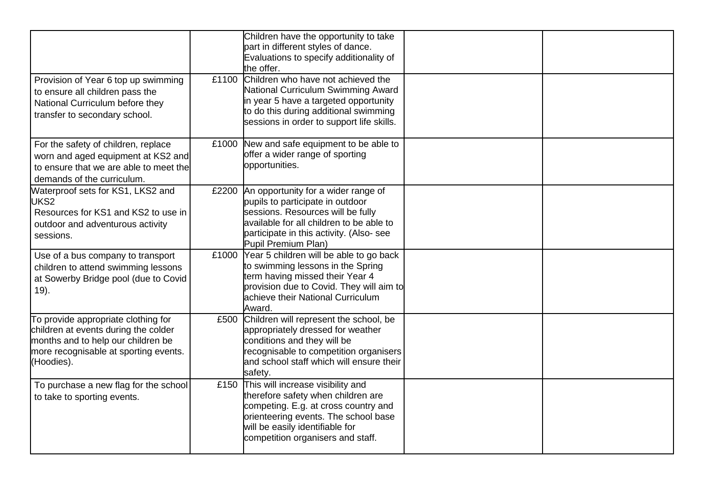|                                                                                                                                                                          |       | Children have the opportunity to take<br>part in different styles of dance.<br>Evaluations to specify additionality of<br>the offer.                                                                                            |  |
|--------------------------------------------------------------------------------------------------------------------------------------------------------------------------|-------|---------------------------------------------------------------------------------------------------------------------------------------------------------------------------------------------------------------------------------|--|
| Provision of Year 6 top up swimming<br>to ensure all children pass the<br>National Curriculum before they<br>transfer to secondary school.                               | £1100 | Children who have not achieved the<br>National Curriculum Swimming Award<br>in year 5 have a targeted opportunity<br>to do this during additional swimming<br>sessions in order to support life skills.                         |  |
| For the safety of children, replace<br>worn and aged equipment at KS2 and<br>to ensure that we are able to meet the<br>demands of the curriculum.                        | £1000 | New and safe equipment to be able to<br>offer a wider range of sporting<br>opportunities.                                                                                                                                       |  |
| Waterproof sets for KS1, LKS2 and<br>UKS2<br>Resources for KS1 and KS2 to use in<br>outdoor and adventurous activity<br>sessions.                                        | £2200 | An opportunity for a wider range of<br>pupils to participate in outdoor<br>sessions. Resources will be fully<br>available for all children to be able to<br>participate in this activity. (Also-see<br>Pupil Premium Plan)      |  |
| Use of a bus company to transport<br>children to attend swimming lessons<br>at Sowerby Bridge pool (due to Covid<br>$19$ ).                                              | £1000 | Year 5 children will be able to go back<br>to swimming lessons in the Spring<br>term having missed their Year 4<br>provision due to Covid. They will aim to<br>achieve their National Curriculum<br>Award.                      |  |
| To provide appropriate clothing for<br>children at events during the colder<br>months and to help our children be<br>more recognisable at sporting events.<br>(Hoodies). | £500  | Children will represent the school, be<br>appropriately dressed for weather<br>conditions and they will be<br>recognisable to competition organisers<br>and school staff which will ensure their<br>safety.                     |  |
| To purchase a new flag for the school<br>to take to sporting events.                                                                                                     | £150  | This will increase visibility and<br>therefore safety when children are<br>competing. E.g. at cross country and<br>orienteering events. The school base<br>will be easily identifiable for<br>competition organisers and staff. |  |